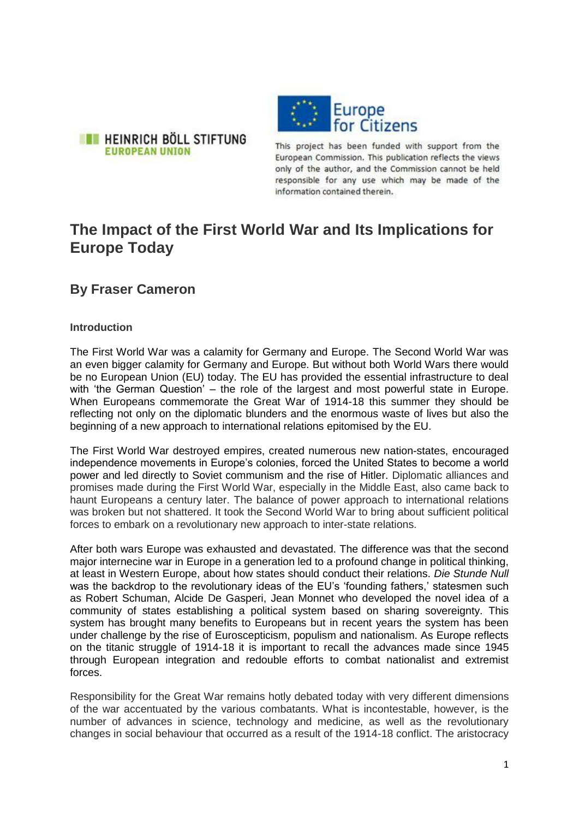



This project has been funded with support from the European Commission. This publication reflects the views only of the author, and the Commission cannot be held responsible for any use which may be made of the information contained therein.

# **The Impact of the First World War and Its Implications for Europe Today**

# **By Fraser Cameron**

# **Introduction**

The First World War was a calamity for Germany and Europe. The Second World War was an even bigger calamity for Germany and Europe. But without both World Wars there would be no European Union (EU) today. The EU has provided the essential infrastructure to deal with 'the German Question' – the role of the largest and most powerful state in Europe. When Europeans commemorate the Great War of 1914-18 this summer they should be reflecting not only on the diplomatic blunders and the enormous waste of lives but also the beginning of a new approach to international relations epitomised by the EU.

The First World War destroyed empires, created numerous new nation-states, encouraged independence movements in Europe's colonies, forced the United States to become a world power and led directly to Soviet communism and the rise of Hitler. Diplomatic alliances and promises made during the First World War, especially in the Middle East, also came back to haunt Europeans a century later. The balance of power approach to international relations was broken but not shattered. It took the Second World War to bring about sufficient political forces to embark on a revolutionary new approach to inter-state relations.

After both wars Europe was exhausted and devastated. The difference was that the second major internecine war in Europe in a generation led to a profound change in political thinking, at least in Western Europe, about how states should conduct their relations. *Die Stunde Null* was the backdrop to the revolutionary ideas of the EU's 'founding fathers,' statesmen such as Robert Schuman, Alcide De Gasperi, Jean Monnet who developed the novel idea of a community of states establishing a political system based on sharing sovereignty. This system has brought many benefits to Europeans but in recent years the system has been under challenge by the rise of Euroscepticism, populism and nationalism. As Europe reflects on the titanic struggle of 1914-18 it is important to recall the advances made since 1945 through European integration and redouble efforts to combat nationalist and extremist forces.

Responsibility for the Great War remains hotly debated today with very different dimensions of the war accentuated by the various combatants. What is incontestable, however, is the number of advances in science, technology and medicine, as well as the revolutionary changes in social behaviour that occurred as a result of the 1914-18 conflict. The aristocracy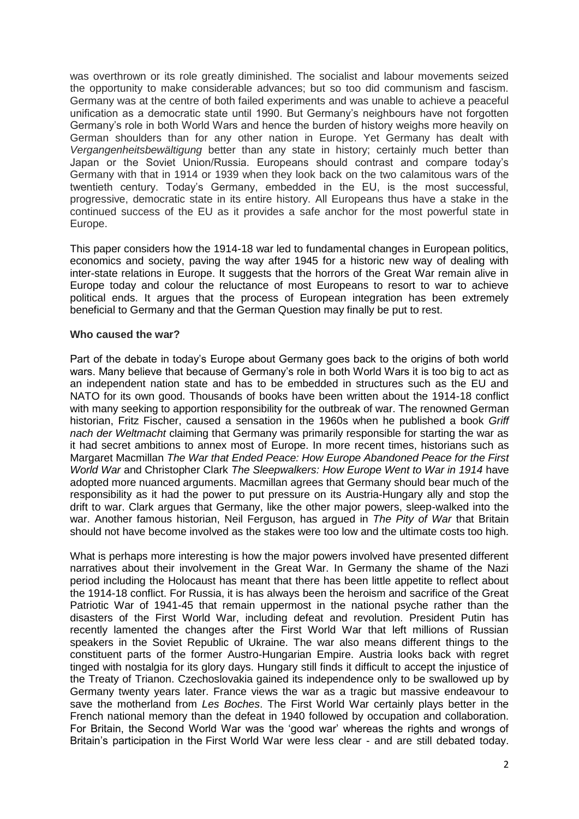was overthrown or its role greatly diminished. The socialist and labour movements seized the opportunity to make considerable advances; but so too did communism and fascism. Germany was at the centre of both failed experiments and was unable to achieve a peaceful unification as a democratic state until 1990. But Germany's neighbours have not forgotten Germany's role in both World Wars and hence the burden of history weighs more heavily on German shoulders than for any other nation in Europe. Yet Germany has dealt with *Vergangenheitsbewältigung* better than any state in history; certainly much better than Japan or the Soviet Union/Russia. Europeans should contrast and compare today's Germany with that in 1914 or 1939 when they look back on the two calamitous wars of the twentieth century. Today's Germany, embedded in the EU, is the most successful, progressive, democratic state in its entire history. All Europeans thus have a stake in the continued success of the EU as it provides a safe anchor for the most powerful state in Europe.

This paper considers how the 1914-18 war led to fundamental changes in European politics, economics and society, paving the way after 1945 for a historic new way of dealing with inter-state relations in Europe. It suggests that the horrors of the Great War remain alive in Europe today and colour the reluctance of most Europeans to resort to war to achieve political ends. It argues that the process of European integration has been extremely beneficial to Germany and that the German Question may finally be put to rest.

#### **Who caused the war?**

Part of the debate in today's Europe about Germany goes back to the origins of both world wars. Many believe that because of Germany's role in both World Wars it is too big to act as an independent nation state and has to be embedded in structures such as the EU and NATO for its own good. Thousands of books have been written about the 1914-18 conflict with many seeking to apportion responsibility for the outbreak of war. The renowned German historian, Fritz Fischer, caused a sensation in the 1960s when he published a book *Griff nach der Weltmacht* claiming that Germany was primarily responsible for starting the war as it had secret ambitions to annex most of Europe. In more recent times, historians such as Margaret Macmillan *[The War that Ended Peace:](http://www.amazon.co.uk/exec/obidos/ASIN/184668272X/economistshop-21) How Europe Abandoned Peace for the First World War* and Christopher Clark *[The Sleepwalkers:](http://www.amazon.co.uk/exec/obidos/ASIN/0141027827/economistshop-21) How Europe Went to War in 1914* have adopted more nuanced arguments. Macmillan agrees that Germany should bear much of the responsibility as it had the power to put pressure on its Austria-Hungary ally and stop the drift to war. Clark argues that Germany, like the other major powers, sleep-walked into the war. Another famous historian, Neil Ferguson, has argued in *The Pity of War* that Britain should not have become involved as the stakes were too low and the ultimate costs too high.

What is perhaps more interesting is how the major powers involved have presented different narratives about their involvement in the Great War. In Germany the shame of the Nazi period including the Holocaust has meant that there has been little appetite to reflect about the 1914-18 conflict. For Russia, it is has always been the heroism and sacrifice of the Great Patriotic War of 1941-45 that remain uppermost in the national psyche rather than the disasters of the First World War, including defeat and revolution. President Putin has recently lamented the changes after the First World War that left millions of Russian speakers in the Soviet Republic of Ukraine. The war also means different things to the constituent parts of the former Austro-Hungarian Empire. Austria looks back with regret tinged with nostalgia for its glory days. Hungary still finds it difficult to accept the injustice of the Treaty of Trianon. Czechoslovakia gained its independence only to be swallowed up by Germany twenty years later. France views the war as a tragic but massive endeavour to save the motherland from *Les Boches*. The First World War certainly plays better in the French national memory than the defeat in 1940 followed by occupation and collaboration. For Britain, the Second World War was the 'good war' whereas the rights and wrongs of Britain's participation in the First World War were less clear - and are still debated today.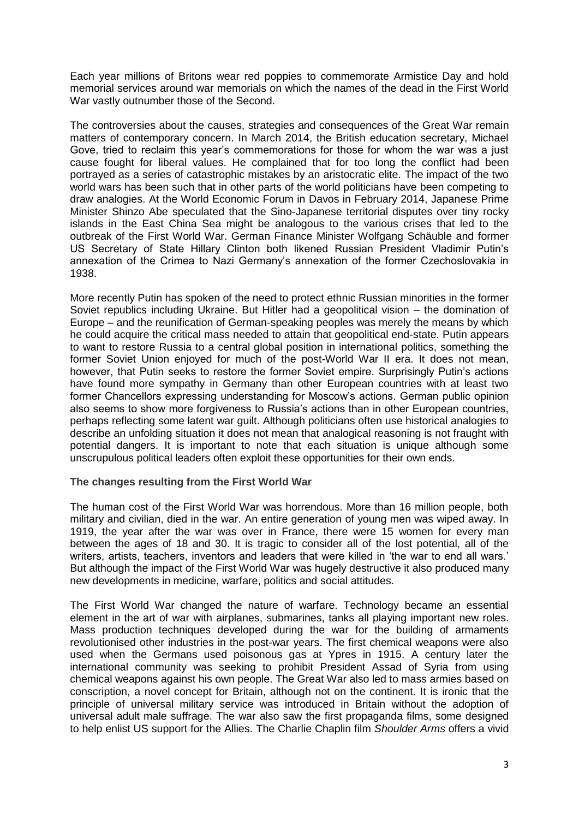Each year millions of Britons wear red poppies to commemorate Armistice Day and hold memorial services around war memorials on which the names of the dead in the First World War vastly outnumber those of the Second.

The controversies about the causes, strategies and consequences of the Great War remain matters of contemporary concern. In March 2014, the British education secretary, Michael Gove, tried to reclaim this year's commemorations for those for whom the war was a just cause fought for liberal values. He complained that for too long the conflict had been portrayed as a series of catastrophic mistakes by an aristocratic elite. The impact of the two world wars has been such that in other parts of the world politicians have been competing to draw analogies. At the World Economic Forum in Davos in February 2014, Japanese Prime Minister Shinzo Abe speculated that the Sino-Japanese territorial disputes over tiny rocky islands in the East China Sea might be analogous to the various crises that led to the outbreak of the First World War. German Finance Minister Wolfgang Schäuble and former US Secretary of State Hillary Clinton both likened Russian President Vladimir Putin's annexation of the Crimea to Nazi Germany's annexation of the former Czechoslovakia in 1938.

More recently Putin has spoken of the need to protect ethnic Russian minorities in the former Soviet republics including Ukraine. But Hitler had a geopolitical vision – the domination of Europe – and the reunification of German-speaking peoples was merely the means by which he could acquire the critical mass needed to attain that geopolitical end-state. Putin appears to want to restore Russia to a central global position in international politics, something the former Soviet Union enjoyed for much of the post-World War II era. It does not mean, however, that Putin seeks to restore the former Soviet empire. Surprisingly Putin's actions have found more sympathy in Germany than other European countries with at least two former Chancellors expressing understanding for Moscow's actions. German public opinion also seems to show more forgiveness to Russia's actions than in other European countries, perhaps reflecting some latent war guilt. Although politicians often use historical analogies to describe an unfolding situation it does not mean that analogical reasoning is not fraught with potential dangers. It is important to note that each situation is unique although some unscrupulous political leaders often exploit these opportunities for their own ends.

#### **The changes resulting from the First World War**

The human cost of the First World War was horrendous. More than 16 million people, both military and civilian, died in the war. An entire generation of young men was wiped away. In 1919, the year after the war was over in France, there were 15 women for every man between the ages of 18 and 30. It is tragic to consider all of the lost potential, all of the writers, artists, teachers, inventors and leaders that were killed in 'the war to end all wars.' But although the impact of the First World War was hugely destructive it also produced many new developments in medicine, warfare, politics and social attitudes.

The First World War changed the nature of warfare. Technology became an essential element in the art of war with airplanes, submarines, tanks all playing important new roles. Mass production techniques developed during the war for the building of armaments revolutionised other industries in the post-war years. The first chemical weapons were also used when the Germans used poisonous gas at Ypres in 1915. A century later the international community was seeking to prohibit President Assad of Syria from using chemical weapons against his own people. The Great War also led to mass armies based on conscription, a novel concept for Britain, although not on the continent. It is ironic that the principle of universal military service was introduced in Britain without the adoption of universal adult male suffrage. The war also saw the first propaganda films, some designed to help enlist US support for the Allies. The Charlie Chaplin film *Shoulder Arms* offers a vivid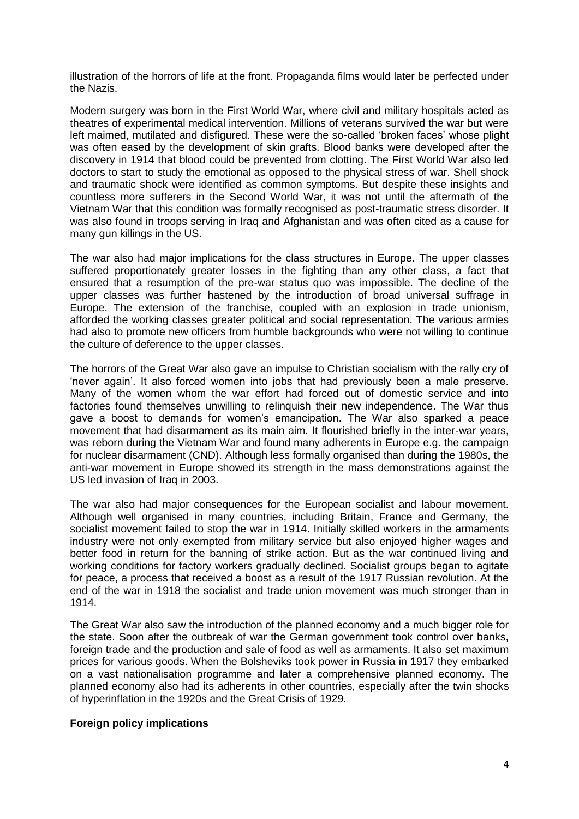illustration of the horrors of life at the front. Propaganda films would later be perfected under the Nazis.

Modern surgery was born in the First World War, where civil and military hospitals acted as theatres of experimental medical intervention. Millions of veterans survived the war but were left maimed, mutilated and disfigured. These were the so-called 'broken faces' whose plight was often eased by the development of skin grafts. Blood banks were developed after the discovery in 1914 that blood could be prevented from clotting. The First World War also led doctors to start to study the emotional as opposed to the physical stress of war. Shell shock and traumatic shock were identified as common symptoms. But despite these insights and countless more sufferers in the Second World War, it was not until the aftermath of the Vietnam War that this condition was formally recognised as post-traumatic stress disorder. It was also found in troops serving in Iraq and Afghanistan and was often cited as a cause for many gun killings in the US.

The war also had major implications for the class structures in Europe. The upper classes suffered proportionately greater losses in the fighting than any other class, a fact that ensured that a resumption of the pre-war status quo was impossible. The decline of the upper classes was further hastened by the introduction of broad universal suffrage in Europe. The extension of the franchise, coupled with an explosion in trade unionism, afforded the working classes greater political and social representation. The various armies had also to promote new officers from humble backgrounds who were not willing to continue the culture of deference to the upper classes.

The horrors of the Great War also gave an impulse to Christian socialism with the rally cry of 'never again'. It also forced women into jobs that had previously been a male preserve. Many of the women whom the war effort had forced out of domestic service and into factories found themselves unwilling to relinquish their new independence. The War thus gave a boost to demands for women's emancipation. The War also sparked a peace movement that had disarmament as its main aim. It flourished briefly in the inter-war years, was reborn during the Vietnam War and found many adherents in Europe e.g. the campaign for nuclear disarmament (CND). Although less formally organised than during the 1980s, the anti-war movement in Europe showed its strength in the mass demonstrations against the US led invasion of Iraq in 2003.

The war also had major consequences for the European socialist and labour movement. Although well organised in many countries, including Britain, France and Germany, the socialist movement failed to stop the war in 1914. Initially skilled workers in the armaments industry were not only exempted from military service but also enjoyed higher wages and better food in return for the banning of strike action. But as the war continued living and working conditions for factory workers gradually declined. Socialist groups began to agitate for peace, a process that received a boost as a result of the 1917 Russian revolution. At the end of the war in 1918 the socialist and trade union movement was much stronger than in 1914.

The Great War also saw the introduction of the planned economy and a much bigger role for the state. Soon after the outbreak of war the German government took control over banks, foreign trade and the production and sale of food as well as armaments. It also set maximum prices for various goods. When the Bolsheviks took power in Russia in 1917 they embarked on a vast nationalisation programme and later a comprehensive planned economy. The planned economy also had its adherents in other countries, especially after the twin shocks of hyperinflation in the 1920s and the Great Crisis of 1929.

#### **Foreign policy implications**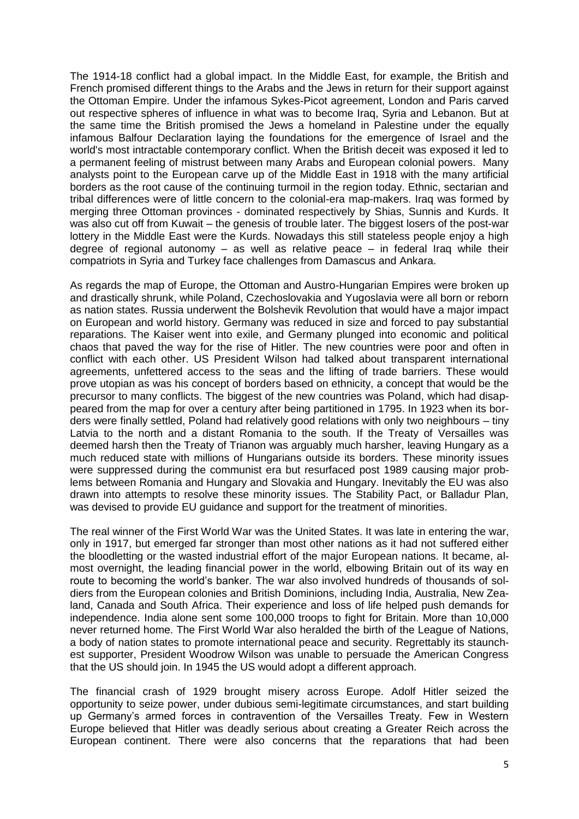The 1914-18 conflict had a global impact. In the Middle East, for example, the British and French promised different things to the Arabs and the Jews in return for their support against the Ottoman Empire. Under the infamous Sykes-Picot agreement, London and Paris carved out respective spheres of influence in what was to become Iraq, Syria and Lebanon. But at the same time the British promised the Jews a homeland in Palestine under the equally infamous Balfour Declaration laying the foundations for the emergence of Israel and the world's most intractable contemporary conflict. When the British deceit was exposed it led to a permanent feeling of mistrust between many Arabs and European colonial powers. Many analysts point to the European carve up of the Middle East in 1918 with the many artificial borders as the root cause of the continuing turmoil in the region today. Ethnic, sectarian and tribal differences were of little concern to the colonial-era map-makers. Iraq was formed by merging three Ottoman provinces - dominated respectively by Shias, Sunnis and Kurds. It was also cut off from Kuwait – the genesis of trouble later. The biggest losers of the post-war lottery in the Middle East were the Kurds. Nowadays this still stateless people enjoy a high degree of regional autonomy  $-$  as well as relative peace  $-$  in federal Irag while their compatriots in Syria and Turkey face challenges from Damascus and Ankara.

As regards the map of Europe, the Ottoman and Austro-Hungarian Empires were broken up and drastically shrunk, while Poland, Czechoslovakia and Yugoslavia were all born or reborn as nation states. Russia underwent the Bolshevik Revolution that would have a major impact on European and world history. Germany was reduced in size and forced to pay substantial reparations. The Kaiser went into exile, and Germany plunged into economic and political chaos that paved the way for the rise of Hitler. The new countries were poor and often in conflict with each other. US President Wilson had talked about transparent international agreements, unfettered access to the seas and the lifting of trade barriers. These would prove utopian as was his concept of borders based on ethnicity, a concept that would be the precursor to many conflicts. The biggest of the new countries was Poland, which had disappeared from the map for over a century after being partitioned in 1795. In 1923 when its borders were finally settled, Poland had relatively good relations with only two neighbours – tiny Latvia to the north and a distant Romania to the south. If the Treaty of Versailles was deemed harsh then the Treaty of Trianon was arguably much harsher, leaving Hungary as a much reduced state with millions of Hungarians outside its borders. These minority issues were suppressed during the communist era but resurfaced post 1989 causing major problems between Romania and Hungary and Slovakia and Hungary. Inevitably the EU was also drawn into attempts to resolve these minority issues. The Stability Pact, or Balladur Plan, was devised to provide EU guidance and support for the treatment of minorities.

The real winner of the First World War was the United States. It was late in entering the war, only in 1917, but emerged far stronger than most other nations as it had not suffered either the bloodletting or the wasted industrial effort of the major European nations. It became, almost overnight, the leading financial power in the world, elbowing Britain out of its way en route to becoming the world's banker. The war also involved hundreds of thousands of soldiers from the European colonies and British Dominions, including India, Australia, New Zealand, Canada and South Africa. Their experience and loss of life helped push demands for independence. India alone sent some 100,000 troops to fight for Britain. More than 10,000 never returned home. The First World War also heralded the birth of the League of Nations, a body of nation states to promote international peace and security. Regrettably its staunchest supporter, President Woodrow Wilson was unable to persuade the American Congress that the US should join. In 1945 the US would adopt a different approach.

The financial crash of 1929 brought misery across Europe. Adolf Hitler seized the opportunity to seize power, under dubious semi-legitimate circumstances, and start building up Germany's armed forces in contravention of the Versailles Treaty. Few in Western Europe believed that Hitler was deadly serious about creating a Greater Reich across the European continent. There were also concerns that the reparations that had been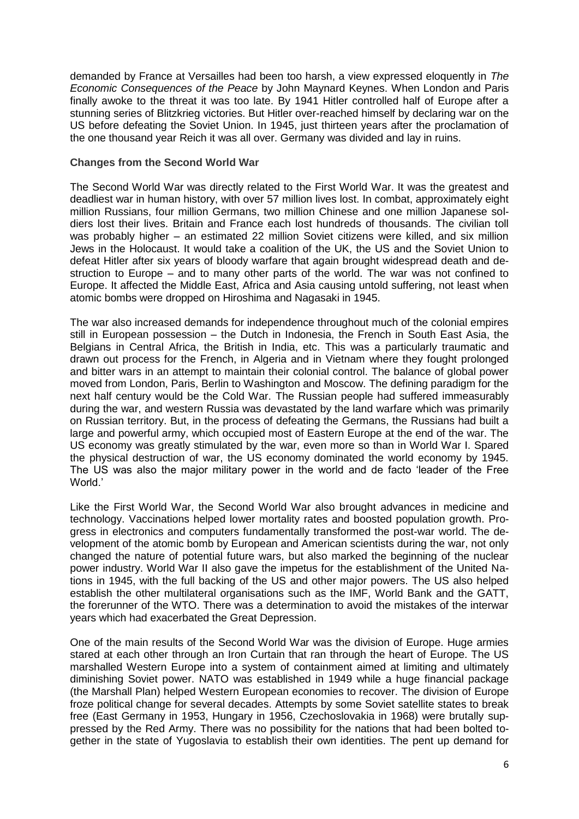demanded by France at Versailles had been too harsh, a view expressed eloquently in *The Economic Consequences of the Peace* by John Maynard Keynes. When London and Paris finally awoke to the threat it was too late. By 1941 Hitler controlled half of Europe after a stunning series of Blitzkrieg victories. But Hitler over-reached himself by declaring war on the US before defeating the Soviet Union. In 1945, just thirteen years after the proclamation of the one thousand year Reich it was all over. Germany was divided and lay in ruins.

#### **Changes from the Second World War**

The Second World War was directly related to the First World War. It was the greatest and deadliest war in human history, with over 57 million lives lost. In combat, approximately eight million Russians, four million Germans, two million Chinese and one million Japanese soldiers lost their lives. Britain and France each lost hundreds of thousands. The civilian toll was probably higher – an estimated 22 million Soviet citizens were killed, and six million Jews in the Holocaust. It would take a coalition of the UK, the US and the Soviet Union to defeat Hitler after six years of bloody warfare that again brought widespread death and destruction to Europe – and to many other parts of the world. The war was not confined to Europe. It affected the Middle East, Africa and Asia causing untold suffering, not least when atomic bombs were dropped on Hiroshima and Nagasaki in 1945.

The war also increased demands for independence throughout much of the colonial empires still in European possession – the Dutch in Indonesia, the French in South East Asia, the Belgians in Central Africa, the British in India, etc. This was a particularly traumatic and drawn out process for the French, in Algeria and in Vietnam where they fought prolonged and bitter wars in an attempt to maintain their colonial control. The balance of global power moved from London, Paris, Berlin to Washington and Moscow. The defining paradigm for the next half century would be the Cold War. The Russian people had suffered immeasurably during the war, and western Russia was devastated by the land warfare which was primarily on Russian territory. But, in the process of defeating the Germans, the Russians had built a large and powerful army, which occupied most of Eastern Europe at the end of the war. The US economy was greatly stimulated by the war, even more so than in World War I. Spared the physical destruction of war, the US economy dominated the world economy by 1945. The US was also the major military power in the world and de facto 'leader of the Free World.'

Like the First World War, the Second World War also brought advances in medicine and technology. Vaccinations helped lower mortality rates and boosted population growth. Progress in electronics and computers fundamentally transformed the post-war world. The development of the atomic bomb by European and American scientists during the war, not only changed the nature of potential future wars, but also marked the beginning of the nuclear power industry. World War II also gave the impetus for the establishment of the United Nations in 1945, with the full backing of the US and other major powers. The US also helped establish the other multilateral organisations such as the IMF, World Bank and the GATT, the forerunner of the WTO. There was a determination to avoid the mistakes of the interwar years which had exacerbated the Great Depression.

One of the main results of the Second World War was the division of Europe. Huge armies stared at each other through an Iron Curtain that ran through the heart of Europe. The US marshalled Western Europe into a system of containment aimed at limiting and ultimately diminishing Soviet power. NATO was established in 1949 while a huge financial package (the Marshall Plan) helped Western European economies to recover. The division of Europe froze political change for several decades. Attempts by some Soviet satellite states to break free (East Germany in 1953, Hungary in 1956, Czechoslovakia in 1968) were brutally suppressed by the Red Army. There was no possibility for the nations that had been bolted together in the state of Yugoslavia to establish their own identities. The pent up demand for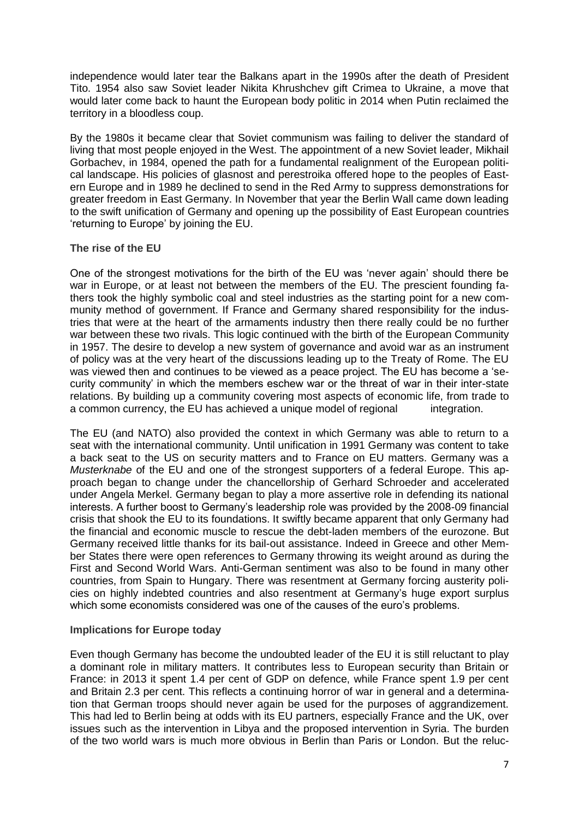independence would later tear the Balkans apart in the 1990s after the death of President Tito. 1954 also saw Soviet leader Nikita Khrushchev gift Crimea to Ukraine, a move that would later come back to haunt the European body politic in 2014 when Putin reclaimed the territory in a bloodless coup.

By the 1980s it became clear that Soviet communism was failing to deliver the standard of living that most people enjoyed in the West. The appointment of a new Soviet leader, Mikhail Gorbachev, in 1984, opened the path for a fundamental realignment of the European political landscape. His policies of glasnost and perestroika offered hope to the peoples of Eastern Europe and in 1989 he declined to send in the Red Army to suppress demonstrations for greater freedom in East Germany. In November that year the Berlin Wall came down leading to the swift unification of Germany and opening up the possibility of East European countries 'returning to Europe' by joining the EU.

#### **The rise of the EU**

One of the strongest motivations for the birth of the EU was 'never again' should there be war in Europe, or at least not between the members of the EU. The prescient founding fathers took the highly symbolic coal and steel industries as the starting point for a new community method of government. If France and Germany shared responsibility for the industries that were at the heart of the armaments industry then there really could be no further war between these two rivals. This logic continued with the birth of the European Community in 1957. The desire to develop a new system of governance and avoid war as an instrument of policy was at the very heart of the discussions leading up to the Treaty of Rome. The EU was viewed then and continues to be viewed as a peace project. The EU has become a 'security community' in which the members eschew war or the threat of war in their inter-state relations. By building up a community covering most aspects of economic life, from trade to a common currency, the EU has achieved a unique model of regional integration.

The EU (and NATO) also provided the context in which Germany was able to return to a seat with the international community. Until unification in 1991 Germany was content to take a back seat to the US on security matters and to France on EU matters. Germany was a *Musterknabe* of the EU and one of the strongest supporters of a federal Europe. This approach began to change under the chancellorship of Gerhard Schroeder and accelerated under Angela Merkel. Germany began to play a more assertive role in defending its national interests. A further boost to Germany's leadership role was provided by the 2008-09 financial crisis that shook the EU to its foundations. It swiftly became apparent that only Germany had the financial and economic muscle to rescue the debt-laden members of the eurozone. But Germany received little thanks for its bail-out assistance. Indeed in Greece and other Member States there were open references to Germany throwing its weight around as during the First and Second World Wars. Anti-German sentiment was also to be found in many other countries, from Spain to Hungary. There was resentment at Germany forcing austerity policies on highly indebted countries and also resentment at Germany's huge export surplus which some economists considered was one of the causes of the euro's problems.

# **Implications for Europe today**

Even though Germany has become the undoubted leader of the EU it is still reluctant to play a dominant role in military matters. It contributes less to European security than Britain or France: in 2013 it spent 1.4 per cent of GDP on defence, while France spent 1.9 per cent and Britain 2.3 per cent. This reflects a continuing horror of war in general and a determination that German troops should never again be used for the purposes of aggrandizement. This had led to Berlin being at odds with its EU partners, especially France and the UK, over issues such as the intervention in Libya and the proposed intervention in Syria. The burden of the two world wars is much more obvious in Berlin than Paris or London. But the reluc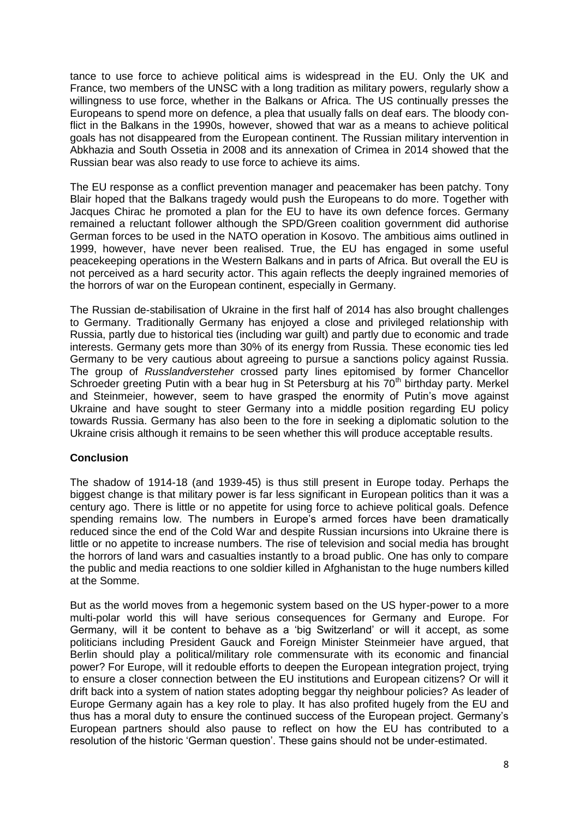tance to use force to achieve political aims is widespread in the EU. Only the UK and France, two members of the UNSC with a long tradition as military powers, regularly show a willingness to use force, whether in the Balkans or Africa. The US continually presses the Europeans to spend more on defence, a plea that usually falls on deaf ears. The bloody conflict in the Balkans in the 1990s, however, showed that war as a means to achieve political goals has not disappeared from the European continent. The Russian military intervention in Abkhazia and South Ossetia in 2008 and its annexation of Crimea in 2014 showed that the Russian bear was also ready to use force to achieve its aims.

The EU response as a conflict prevention manager and peacemaker has been patchy. Tony Blair hoped that the Balkans tragedy would push the Europeans to do more. Together with Jacques Chirac he promoted a plan for the EU to have its own defence forces. Germany remained a reluctant follower although the SPD/Green coalition government did authorise German forces to be used in the NATO operation in Kosovo. The ambitious aims outlined in 1999, however, have never been realised. True, the EU has engaged in some useful peacekeeping operations in the Western Balkans and in parts of Africa. But overall the EU is not perceived as a hard security actor. This again reflects the deeply ingrained memories of the horrors of war on the European continent, especially in Germany.

The Russian de-stabilisation of Ukraine in the first half of 2014 has also brought challenges to Germany. Traditionally Germany has enjoyed a close and privileged relationship with Russia, partly due to historical ties (including war guilt) and partly due to economic and trade interests. Germany gets more than 30% of its energy from Russia. These economic ties led Germany to be very cautious about agreeing to pursue a sanctions policy against Russia. The group of *Russlandversteher* crossed party lines epitomised by former Chancellor Schroeder greeting Putin with a bear hug in St Petersburg at his  $70<sup>th</sup>$  birthday party. Merkel and Steinmeier, however, seem to have grasped the enormity of Putin's move against Ukraine and have sought to steer Germany into a middle position regarding EU policy towards Russia. Germany has also been to the fore in seeking a diplomatic solution to the Ukraine crisis although it remains to be seen whether this will produce acceptable results.

# **Conclusion**

The shadow of 1914-18 (and 1939-45) is thus still present in Europe today. Perhaps the biggest change is that military power is far less significant in European politics than it was a century ago. There is little or no appetite for using force to achieve political goals. Defence spending remains low. The numbers in Europe's armed forces have been dramatically reduced since the end of the Cold War and despite Russian incursions into Ukraine there is little or no appetite to increase numbers. The rise of television and social media has brought the horrors of land wars and casualties instantly to a broad public. One has only to compare the public and media reactions to one soldier killed in Afghanistan to the huge numbers killed at the Somme.

But as the world moves from a hegemonic system based on the US hyper-power to a more multi-polar world this will have serious consequences for Germany and Europe. For Germany, will it be content to behave as a 'big Switzerland' or will it accept, as some politicians including President Gauck and Foreign Minister Steinmeier have argued, that Berlin should play a political/military role commensurate with its economic and financial power? For Europe, will it redouble efforts to deepen the European integration project, trying to ensure a closer connection between the EU institutions and European citizens? Or will it drift back into a system of nation states adopting beggar thy neighbour policies? As leader of Europe Germany again has a key role to play. It has also profited hugely from the EU and thus has a moral duty to ensure the continued success of the European project. Germany's European partners should also pause to reflect on how the EU has contributed to a resolution of the historic 'German question'. These gains should not be under-estimated.